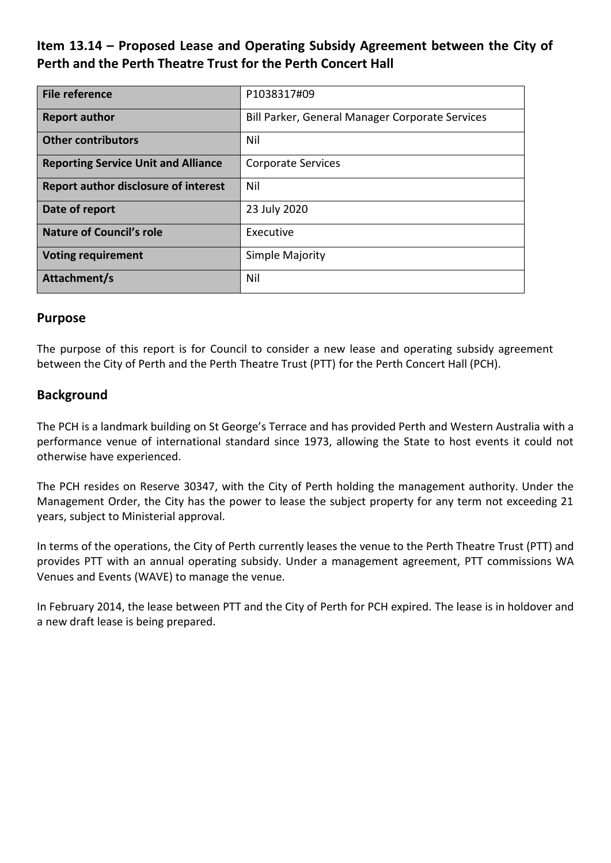# **Item 13.14 – Proposed Lease and Operating Subsidy Agreement between the City of Perth and the Perth Theatre Trust for the Perth Concert Hall**

| <b>File reference</b>                       | P1038317#09                                     |  |
|---------------------------------------------|-------------------------------------------------|--|
| <b>Report author</b>                        | Bill Parker, General Manager Corporate Services |  |
| <b>Other contributors</b>                   | Nil                                             |  |
| <b>Reporting Service Unit and Alliance</b>  | <b>Corporate Services</b>                       |  |
| <b>Report author disclosure of interest</b> | Nil                                             |  |
| Date of report                              | 23 July 2020                                    |  |
| <b>Nature of Council's role</b>             | Executive                                       |  |
| <b>Voting requirement</b>                   | Simple Majority                                 |  |
| Attachment/s                                | Nil                                             |  |

### **Purpose**

The purpose of this report is for Council to consider a new lease and operating subsidy agreement between the City of Perth and the Perth Theatre Trust (PTT) for the Perth Concert Hall (PCH).

# **Background**

The PCH is a landmark building on St George's Terrace and has provided Perth and Western Australia with a performance venue of international standard since 1973, allowing the State to host events it could not otherwise have experienced.

The PCH resides on Reserve 30347, with the City of Perth holding the management authority. Under the Management Order, the City has the power to lease the subject property for any term not exceeding 21 years, subject to Ministerial approval.

In terms of the operations, the City of Perth currently leases the venue to the Perth Theatre Trust (PTT) and provides PTT with an annual operating subsidy. Under a management agreement, PTT commissions WA Venues and Events (WAVE) to manage the venue.

In February 2014, the lease between PTT and the City of Perth for PCH expired. The lease is in holdover and a new draft lease is being prepared.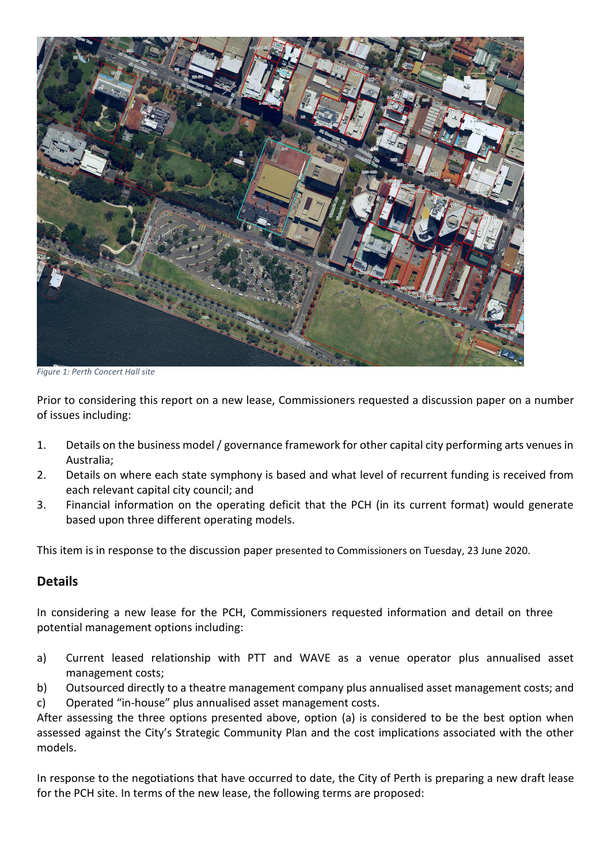

*Figure 1: Perth Concert Hall site*

Prior to considering this report on a new lease, Commissioners requested a discussion paper on a number of issues including:

- 1. Details on the business model / governance framework for other capital city performing arts venues in Australia;
- 2. Details on where each state symphony is based and what level of recurrent funding is received from each relevant capital city council; and
- 3. Financial information on the operating deficit that the PCH (in its current format) would generate based upon three different operating models.

This item is in response to the discussion paper presented to Commissioners on Tuesday, 23 June 2020.

#### **Details**

In considering a new lease for the PCH, Commissioners requested information and detail on three potential management options including:

a) Current leased relationship with PTT and WAVE as a venue operator plus annualised asset management costs;

b) Outsourced directly to a theatre management company plus annualised asset management costs; and c) Operated "in-house" plus annualised asset management costs.

After assessing the three options presented above, option (a) is considered to be the best option when assessed against the City's Strategic Community Plan and the cost implications associated with the other models.

In response to the negotiations that have occurred to date, the City of Perth is preparing a new draft lease for the PCH site. In terms of the new lease, the following terms are proposed: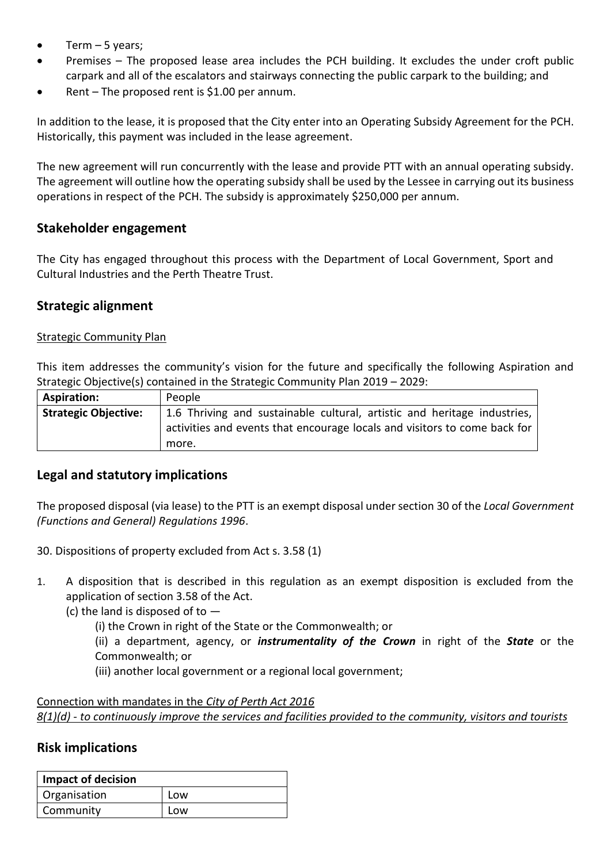- Term  $-5$  years;
- Premises The proposed lease area includes the PCH building. It excludes the under croft public carpark and all of the escalators and stairways connecting the public carpark to the building; and
- Rent The proposed rent is \$1.00 per annum.

In addition to the lease, it is proposed that the City enter into an Operating Subsidy Agreement for the PCH. Historically, this payment was included in the lease agreement.

The new agreement will run concurrently with the lease and provide PTT with an annual operating subsidy. The agreement will outline how the operating subsidy shall be used by the Lessee in carrying out its business operations in respect of the PCH. The subsidy is approximately \$250,000 per annum.

#### **Stakeholder engagement**

The City has engaged throughout this process with the Department of Local Government, Sport and Cultural Industries and the Perth Theatre Trust.

# **Strategic alignment**

#### Strategic Community Plan

This item addresses the community's vision for the future and specifically the following Aspiration and Strategic Objective(s) contained in the Strategic Community Plan 2019 – 2029:

| <b>Aspiration:</b>          | People                                                                    |  |
|-----------------------------|---------------------------------------------------------------------------|--|
| <b>Strategic Objective:</b> | 1.6 Thriving and sustainable cultural, artistic and heritage industries,  |  |
|                             | activities and events that encourage locals and visitors to come back for |  |
|                             | more.                                                                     |  |

### **Legal and statutory implications**

The proposed disposal (via lease) to the PTT is an exempt disposal under section 30 of the *Local Government (Functions and General) Regulations 1996*.

- 30. Dispositions of property excluded from Act s. 3.58 (1)
- 1. A disposition that is described in this regulation as an exempt disposition is excluded from the application of section 3.58 of the Act.
	- (c) the land is disposed of to  $-$ 
		- (i) the Crown in right of the State or the Commonwealth; or
		- (ii) a department, agency, or *instrumentality of the Crown* in right of the *State* or the Commonwealth; or
		- (iii) another local government or a regional local government;

Connection with mandates in the *City of Perth Act 2016 8(1)(d) - to continuously improve the services and facilities provided to the community, visitors and tourists*

### **Risk implications**

| Impact of decision |     |
|--------------------|-----|
| Organisation       | Low |
| Community          | Low |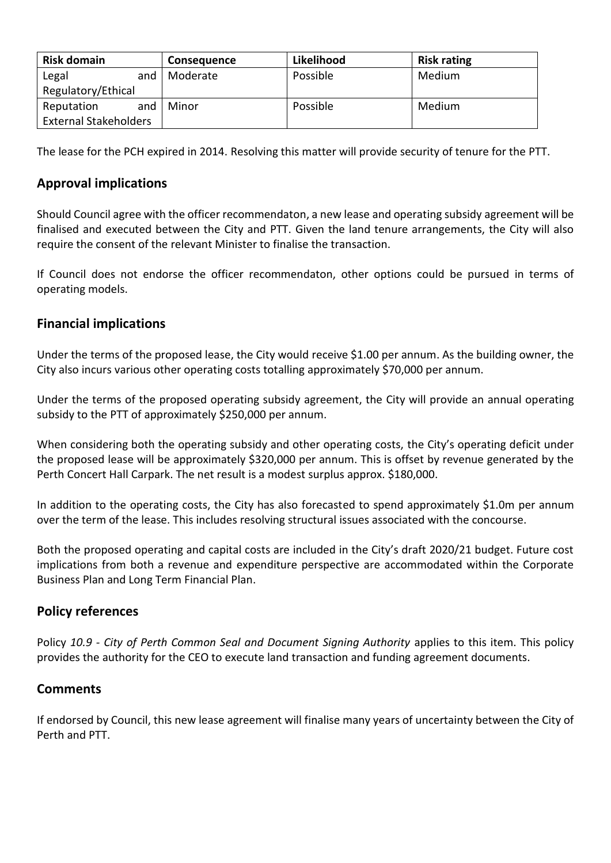| <b>Risk domain</b>           | <b>Consequence</b> | Likelihood | <b>Risk rating</b> |
|------------------------------|--------------------|------------|--------------------|
| Legal<br>and                 | Moderate           | Possible   | Medium             |
| Regulatory/Ethical           |                    |            |                    |
| Reputation<br>and            | Minor              | Possible   | Medium             |
| <b>External Stakeholders</b> |                    |            |                    |

The lease for the PCH expired in 2014. Resolving this matter will provide security of tenure for the PTT.

# **Approval implications**

Should Council agree with the officer recommendaton, a new lease and operating subsidy agreement will be finalised and executed between the City and PTT. Given the land tenure arrangements, the City will also require the consent of the relevant Minister to finalise the transaction.

If Council does not endorse the officer recommendaton, other options could be pursued in terms of operating models.

### **Financial implications**

Under the terms of the proposed lease, the City would receive \$1.00 per annum. As the building owner, the City also incurs various other operating costs totalling approximately \$70,000 per annum.

Under the terms of the proposed operating subsidy agreement, the City will provide an annual operating subsidy to the PTT of approximately \$250,000 per annum.

When considering both the operating subsidy and other operating costs, the City's operating deficit under the proposed lease will be approximately \$320,000 per annum. This is offset by revenue generated by the Perth Concert Hall Carpark. The net result is a modest surplus approx. \$180,000.

In addition to the operating costs, the City has also forecasted to spend approximately \$1.0m per annum over the term of the lease. This includes resolving structural issues associated with the concourse.

Both the proposed operating and capital costs are included in the City's draft 2020/21 budget. Future cost implications from both a revenue and expenditure perspective are accommodated within the Corporate Business Plan and Long Term Financial Plan.

### **Policy references**

Policy *10.9 - City of Perth Common Seal and Document Signing Authority* applies to this item. This policy provides the authority for the CEO to execute land transaction and funding agreement documents.

### **Comments**

If endorsed by Council, this new lease agreement will finalise many years of uncertainty between the City of Perth and PTT.